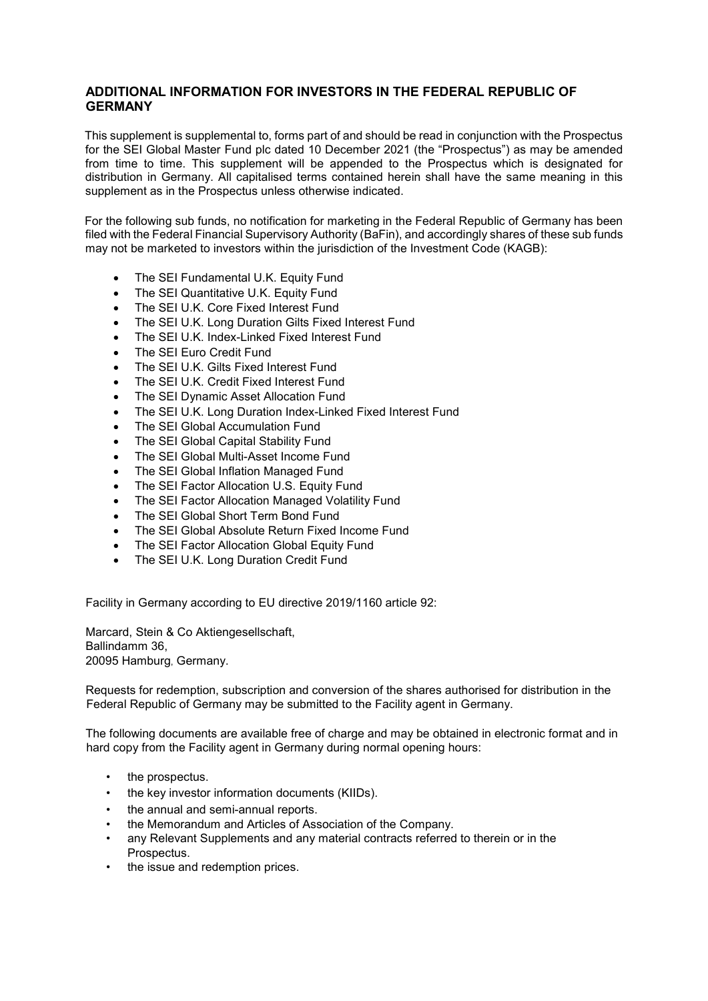## **ADDITIONAL INFORMATION FOR INVESTORS IN THE FEDERAL REPUBLIC OF GERMANY**

This supplement is supplemental to, forms part of and should be read in conjunction with the Prospectus for the SEI Global Master Fund plc dated 10 December 2021 (the "Prospectus") as may be amended from time to time. This supplement will be appended to the Prospectus which is designated for distribution in Germany. All capitalised terms contained herein shall have the same meaning in this supplement as in the Prospectus unless otherwise indicated.

For the following sub funds, no notification for marketing in the Federal Republic of Germany has been filed with the Federal Financial Supervisory Authority (BaFin), and accordingly shares of these sub funds may not be marketed to investors within the jurisdiction of the Investment Code (KAGB):

- The SEI Fundamental U.K. Equity Fund
- The SEI Quantitative U.K. Equity Fund
- The SEI U.K. Core Fixed Interest Fund
- The SEI U.K. Long Duration Gilts Fixed Interest Fund
- The SEI U.K. Index-Linked Fixed Interest Fund
- The SEI Euro Credit Fund
- The SEI U.K. Gilts Fixed Interest Fund
- The SEI U.K. Credit Fixed Interest Fund
- The SEI Dynamic Asset Allocation Fund
- The SEI U.K. Long Duration Index-Linked Fixed Interest Fund
- The SEI Global Accumulation Fund
- The SEI Global Capital Stability Fund
- The SEI Global Multi-Asset Income Fund
- The SEI Global Inflation Managed Fund
- The SEI Factor Allocation U.S. Equity Fund
- The SEI Factor Allocation Managed Volatility Fund
- The SEI Global Short Term Bond Fund
- The SEI Global Absolute Return Fixed Income Fund
- The SEI Factor Allocation Global Equity Fund
- The SEI U.K. Long Duration Credit Fund

Facility in Germany according to EU directive 2019/1160 article 92:

Marcard, Stein & Co Aktiengesellschaft, Ballindamm 36, 20095 Hamburg, Germany.

Requests for redemption, subscription and conversion of the shares authorised for distribution in the Federal Republic of Germany may be submitted to the Facility agent in Germany.

The following documents are available free of charge and may be obtained in electronic format and in hard copy from the Facility agent in Germany during normal opening hours:

- the prospectus.
- the key investor information documents (KIIDs).
- the annual and semi-annual reports.
- the Memorandum and Articles of Association of the Company.
- any Relevant Supplements and any material contracts referred to therein or in the Prospectus.
- the issue and redemption prices.